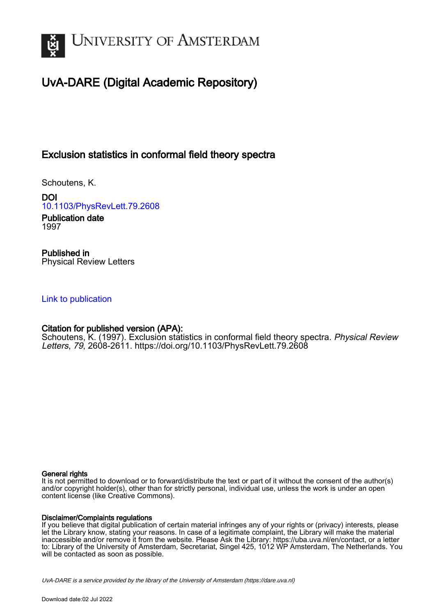

# UvA-DARE (Digital Academic Repository)

## Exclusion statistics in conformal field theory spectra

Schoutens, K.

DOI [10.1103/PhysRevLett.79.2608](https://doi.org/10.1103/PhysRevLett.79.2608)

Publication date 1997

Published in Physical Review Letters

## [Link to publication](https://dare.uva.nl/personal/pure/en/publications/exclusion-statistics-in-conformal-field-theory-spectra(132ba57c-358c-4f9a-a7ae-65c14ebd53a3).html)

## Citation for published version (APA):

Schoutens, K. (1997). Exclusion statistics in conformal field theory spectra. Physical Review Letters, 79, 2608-2611.<https://doi.org/10.1103/PhysRevLett.79.2608>

#### General rights

It is not permitted to download or to forward/distribute the text or part of it without the consent of the author(s) and/or copyright holder(s), other than for strictly personal, individual use, unless the work is under an open content license (like Creative Commons).

#### Disclaimer/Complaints regulations

If you believe that digital publication of certain material infringes any of your rights or (privacy) interests, please let the Library know, stating your reasons. In case of a legitimate complaint, the Library will make the material inaccessible and/or remove it from the website. Please Ask the Library: https://uba.uva.nl/en/contact, or a letter to: Library of the University of Amsterdam, Secretariat, Singel 425, 1012 WP Amsterdam, The Netherlands. You will be contacted as soon as possible.

UvA-DARE is a service provided by the library of the University of Amsterdam (http*s*://dare.uva.nl)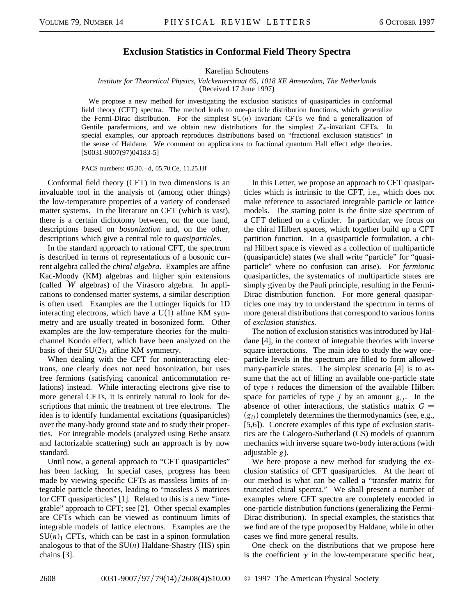### **Exclusion Statistics in Conformal Field Theory Spectra**

Kareljan Schoutens

*Institute for Theoretical Physics, Valckenierstraat 65, 1018 XE Amsterdam, The Netherlands*

(Received 17 June 1997)

We propose a new method for investigating the exclusion statistics of quasiparticles in conformal field theory (CFT) spectra. The method leads to one-particle distribution functions, which generalize the Fermi-Dirac distribution. For the simplest  $SU(n)$  invariant CFTs we find a generalization of Gentile parafermions, and we obtain new distributions for the simplest  $Z_N$ -invariant CFTs. In special examples, our approach reproduces distributions based on "fractional exclusion statistics" in the sense of Haldane. We comment on applications to fractional quantum Hall effect edge theories. [S0031-9007(97)04183-5]

PACS numbers: 05.30. – d, 05.70.Ce, 11.25.Hf

Conformal field theory (CFT) in two dimensions is an invaluable tool in the analysis of (among other things) the low-temperature properties of a variety of condensed matter systems. In the literature on CFT (which is vast), there is a certain dichotomy between, on the one hand, descriptions based on *bosonization* and, on the other, descriptions which give a central role to *quasiparticles*.

In the standard approach to rational CFT, the spectrum is described in terms of representations of a bosonic current algebra called the *chiral algebra*. Examples are affine Kac-Moody (KM) algebras and higher spin extensions (called  $W$  algebras) of the Virasoro algebra. In applications to condensed matter systems, a similar description is often used. Examples are the Luttinger liquids for 1D interacting electrons, which have a  $U(1)$  affine KM symmetry and are usually treated in bosonized form. Other examples are the low-temperature theories for the multichannel Kondo effect, which have been analyzed on the basis of their  $SU(2)_k$  affine KM symmetry.

When dealing with the CFT for noninteracting electrons, one clearly does not need bosonization, but uses free fermions (satisfying canonical anticommutation relations) instead. While interacting electrons give rise to more general CFTs, it is entirely natural to look for descriptions that mimic the treatment of free electrons. The idea is to identify fundamental excitations (quasiparticles) over the many-body ground state and to study their properties. For integrable models (analyzed using Bethe ansatz and factorizable scattering) such an approach is by now standard.

Until now, a general approach to "CFT quasiparticles" has been lacking. In special cases, progress has been made by viewing specific CFTs as massless limits of integrable particle theories, leading to "massless *S* matrices for CFT quasiparticles" [1]. Related to this is a new "integrable" approach to CFT; see [2]. Other special examples are CFTs which can be viewed as continuum limits of integrable models of lattice electrons. Examples are the  $SU(n)$ <sup>1</sup> CFTs, which can be cast in a spinon formulation analogous to that of the  $SU(n)$  Haldane-Shastry (HS) spin chains [3].

In this Letter, we propose an approach to CFT quasiparticles which is intrinsic to the CFT, i.e., which does not make reference to associated integrable particle or lattice models. The starting point is the finite size spectrum of a CFT defined on a cylinder. In particular, we focus on the chiral Hilbert spaces, which together build up a CFT partition function. In a quasiparticle formulation, a chiral Hilbert space is viewed as a collection of multiparticle (quasiparticle) states (we shall write "particle" for "quasiparticle" where no confusion can arise). For *fermionic* quasiparticles, the systematics of multiparticle states are simply given by the Pauli principle, resulting in the Fermi-Dirac distribution function. For more general quasiparticles one may try to understand the spectrum in terms of more general distributions that correspond to various forms of *exclusion statistics.*

The notion of exclusion statistics was introduced by Haldane [4], in the context of integrable theories with inverse square interactions. The main idea to study the way oneparticle levels in the spectrum are filled to form allowed many-particle states. The simplest scenario [4] is to assume that the act of filling an available one-particle state of type *i* reduces the dimension of the available Hilbert space for particles of type  $j$  by an amount  $g_{ij}$ . In the absence of other interactions, the statistics matrix *G*  $(g_{ii})$  completely determines the thermodynamics (see, e.g., [5,6]). Concrete examples of this type of exclusion statistics are the Calogero-Sutherland (CS) models of quantum mechanics with inverse square two-body interactions (with adjustable *g*).

We here propose a new method for studying the exclusion statistics of CFT quasiparticles. At the heart of our method is what can be called a "transfer matrix for truncated chiral spectra." We shall present a number of examples where CFT spectra are completely encoded in one-particle distribution functions (generalizing the Fermi-Dirac distribution). In special examples, the statistics that we find are of the type proposed by Haldane, while in other cases we find more general results.

One check on the distributions that we propose here is the coefficient  $\gamma$  in the low-temperature specific heat,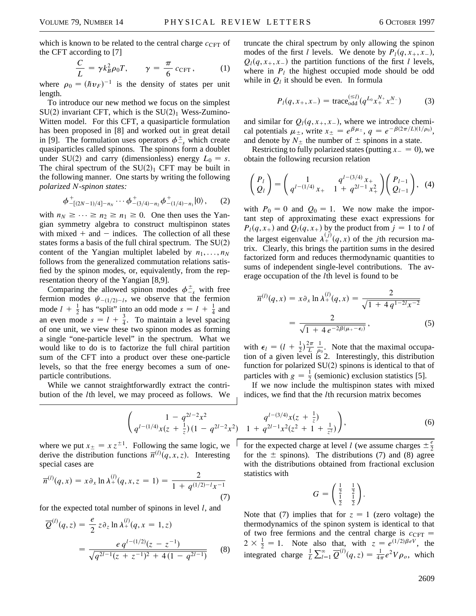which is known to be related to the central charge  $c_{CFT}$  of the CFT according to [7]

$$
\frac{C}{L} = \gamma k_B^2 \rho_0 T, \qquad \gamma = \frac{\pi}{6} c_{\text{CFT}}, \qquad (1)
$$

where  $\rho_0 = (\hbar v_F)^{-1}$  is the density of states per unit length.

To introduce our new method we focus on the simplest  $SU(2)$  invariant CFT, which is the  $SU(2)<sub>1</sub>$  Wess-Zumino-Witten model. For this CFT, a quasiparticle formulation has been proposed in [8] and worked out in great detail in [9]. The formulation uses operators  $\phi_{-s}^{\pm}$  which create quasiparticles called spinons. The spinons form a doublet under SU(2) and carry (dimensionless) energy  $L_0 = s$ . The chiral spectrum of the  $SU(2)<sub>1</sub>$  CFT may be built in the following manner. One starts by writing the following *polarized N-spinon states:*

$$
\phi^+_{-[2N-1)/4]-n_N}\cdots\phi^+_{-(3/4)-n_2}\phi^+_{-(1/4)-n_1}|0\rangle\,,\qquad(2)
$$

with  $n_N \geq \cdots \geq n_2 \geq n_1 \geq 0$ . One then uses the Yangian symmetry algebra to construct multispinon states with mixed  $+$  and  $-$  indices. The collection of all these states forms a basis of the full chiral spectrum. The  $SU(2)$ content of the Yangian multiplet labeled by  $n_1, \ldots, n_N$ follows from the generalized commutation relations satisfied by the spinon modes, or, equivalently, from the representation theory of the Yangian [8,9].

Comparing the allowed spinon modes  $\phi_{-s}^{\pm}$  with free fermion modes  $\psi_{-(1/2)-l}$ , we observe that the fermion mode  $l + \frac{1}{2}$  has "split" into an odd mode  $s = l + \frac{1}{4}$  and an even mode  $s = l + \frac{3}{4}$ . To maintain a level spacing of one unit, we view these two spinon modes as forming a single "one-particle level" in the spectrum. What we would like to do is to factorize the full chiral partition sum of the CFT into a product over these one-particle levels, so that the free energy becomes a sum of oneparticle contributions.

While we cannot straightforwardly extract the contribution of the *l*th level, we may proceed as follows. We

√

truncate the chiral spectrum by only allowing the spinon modes of the first *l* levels. We denote by  $P_l(q, x_+, x_-)$ ,  $Q_l(q, x_+, x_-)$  the partition functions of the first *l* levels, where in  $P_l$  the highest occupied mode should be odd while in  $Q_l$  it should be even. In formula

$$
P_l(q, x_+, x_-) = \text{trace}_{\text{odd}}^{(\leq l)}(q^{L_0} x_+^{N_+} x_-^{N_-})
$$
 (3)

and similar for  $Q_l(q, x_+, x_-)$ , where we introduce chemical potentials  $\mu_{\pm}$ , write  $x_{\pm} = e^{\beta \mu_{\pm}}, q = e^{-\beta(2\pi/L)(1/\rho_0)},$ and denote by  $N_{\pm}$  the number of  $\pm$  spinons in a state.

Restricting to fully polarized states (putting  $x = 0$ ), we obtain the following recursion relation

$$
\begin{pmatrix} P_l \\ Q_l \end{pmatrix} = \begin{pmatrix} 1 & q^{l-(3/4)}x_+ \\ q^{l-(1/4)}x_+ & 1 + q^{2l-1}x_+^2 \end{pmatrix} \begin{pmatrix} P_{l-1} \\ Q_{l-1} \end{pmatrix}, \tag{4}
$$

with  $P_0 = 0$  and  $Q_0 = 1$ . We now make the important step of approximating these exact expressions for  $P_l(q, x_+)$  and  $Q_l(q, x_+)$  by the product from  $j = 1$  to *l* of the largest eigenvalue  $\lambda^{(j)}_+(q, x)$  of the *j*th recursion matrix. Clearly, this brings the partition sums in the desired factorized form and reduces thermodynamic quantities to sums of independent single-level contributions. The average occupation of the *l*th level is found to be

$$
\overline{n}^{(l)}(q,x) = x \partial_x \ln \lambda_+^{(l)}(q,x) = \frac{2}{\sqrt{1 + 4 q^{1 - 2l} x^{-2}}}
$$

$$
= \frac{2}{\sqrt{1 + 4 e^{-2\beta(\mu_+ - \epsilon_l)}}}, \qquad (5)
$$

with  $\epsilon_l = (l + \frac{1}{2})\frac{2\pi}{L}$ *L*  $\frac{1}{\rho_0}$ . Note that the maximal occupation of a given level is 2. Interestingly, this distribution function for polarized  $SU(2)$  spinons is identical to that of particles with  $g = \frac{1}{2}$  (semionic) exclusion statistics [5].

If we now include the multispinon states with mixed indices, we find that the *l*th recursion matrix becomes

$$
\frac{1 - q^{2l-2}x^2}{q^{l-(1/4)}x(z + \frac{1}{z})(1 - q^{2l-2}x^2)} \frac{q^{l-(3/4)}x(z + \frac{1}{z})}{1 + q^{2l-1}x^2(z^2 + 1 + \frac{1}{z^2})},
$$
\n(6)

where we put  $x_{\pm} = x z^{\pm 1}$ . Following the same logic, we derive the distribution functions  $\overline{n}^{(l)}(q, x, z)$ . Interesting special cases are

$$
\overline{n}^{(l)}(q,x) = x \partial_x \ln \lambda_+^{(l)}(q,x,z=1) = \frac{2}{1 + q^{(1/2)-l}x^{-1}}
$$
\n(7)

for the expected total number of spinons in level *l*, and

$$
\overline{Q}^{(l)}(q, z) = \frac{e}{2} z \partial_z \ln \lambda_+^{(l)}(q, x = 1, z)
$$

$$
= \frac{e q^{l - (1/2)}(z - z^{-1})}{\sqrt{q^{2l - 1}(z + z^{-1})^2 + 4(1 - q^{2l - 1})}} \tag{8}
$$

for the expected charge at level *l* (we assume charges  $\pm \frac{e}{2}$ for the  $\pm$  spinons). The distributions (7) and (8) agree with the distributions obtained from fractional exclusion statistics with

$$
G = \begin{pmatrix} \frac{1}{2} & \frac{1}{2} \\ \frac{1}{2} & \frac{1}{2} \end{pmatrix}.
$$

Note that (7) implies that for  $z = 1$  (zero voltage) the thermodynamics of the spinon system is identical to that of two free fermions and the central charge is  $c_{\text{CFT}} =$  $2 \times \frac{1}{2} = 1$ . Note also that, with  $z = e^{(1/2)\beta eV}$ , the integrated charge  $\frac{1}{L} \sum_{l=1}^{\infty} \overline{Q}^{(l)}(q, z) = \frac{1}{4\pi} e^2 V \rho_o$ , which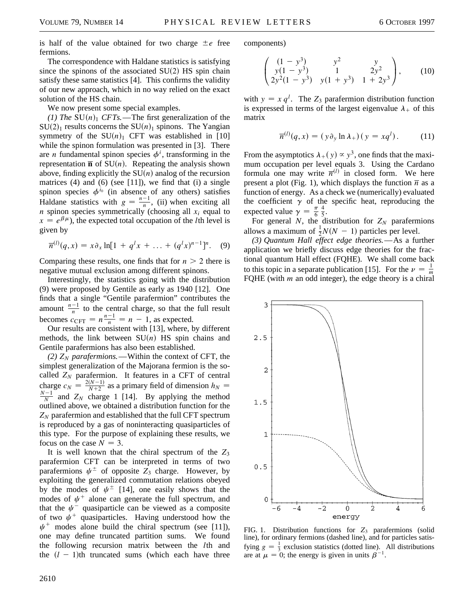is half of the value obtained for two charge  $\pm e$  free fermions.

The correspondence with Haldane statistics is satisfying since the spinons of the associated  $SU(2)$  HS spin chain satisfy these same statistics [4]. This confirms the validity of our new approach, which in no way relied on the exact solution of the HS chain.

We now present some special examples.

 $(1)$  *The* SU $(n)$ <sup>1</sup> *CFTs.*—The first generalization of the  $SU(2)_1$  results concerns the  $SU(n)_1$  spinons. The Yangian symmetry of the  $SU(n)_1$  CFT was established in [10] while the spinon formulation was presented in [3]. There are *n* fundamental spinon species  $\phi^i$ , transforming in the representation  $\overline{\mathbf{n}}$  of SU(*n*). Repeating the analysis shown above, finding explicitly the  $SU(n)$  analog of the recursion matrices  $(4)$  and  $(6)$  (see [11]), we find that  $(i)$  a single spinon species  $\phi^{i_0}$  (in absence of any others) satisfies Haldane statistics with  $g = \frac{n-1}{n}$ , (ii) when exciting all *n* spinon species symmetrically (choosing all  $x_i$  equal to  $x = e^{\beta \mu}$ , the expected total occupation of the *l*th level is given by

$$
\overline{n}^{(l)}(q,x) = x \partial_x \ln[1 + q^l x + \dots + (q^l x)^{n-1}]^n. \quad (9)
$$

Comparing these results, one finds that for  $n > 2$  there is negative mutual exclusion among different spinons.

Interestingly, the statistics going with the distribution (9) were proposed by Gentile as early as 1940 [12]. One finds that a single "Gentile parafermion" contributes the amount  $\frac{n-1}{n}$  to the central charge, so that the full result becomes  $c_{\text{CFT}} = n \frac{n-1}{n} = n - 1$ , as expected.

Our results are consistent with [13], where, by different methods, the link between  $SU(n)$  HS spin chains and Gentile parafermions has also been established.

 $(2)$   $Z_N$  *parafermions.*—Within the context of CFT, the simplest generalization of the Majorana fermion is the socalled  $Z_N$  parafermion. It features in a CFT of central charge  $c_N = \frac{2(N-1)}{N+2}$  as a primary field of dimension  $h_N = N-1$  and Z, sharpe, 1.141, By explicitly the mathed  $\frac{N-1}{N}$  and  $Z_N$  charge 1 [14]. By applying the method outlined above, we obtained a distribution function for the  $Z_N$  parafermion and established that the full CFT spectrum is reproduced by a gas of noninteracting quasiparticles of this type. For the purpose of explaining these results, we focus on the case  $N = 3$ .

It is well known that the chiral spectrum of the  $Z_3$ parafermion CFT can be interpreted in terms of two parafermions  $\psi^{\pm}$  of opposite  $Z_3$  charge. However, by exploiting the generalized commutation relations obeyed by the modes of  $\psi^{\pm}$  [14], one easily shows that the modes of  $\psi^+$  alone can generate the full spectrum, and that the  $\psi^-$  quasiparticle can be viewed as a composite of two  $\psi^+$  quasiparticles. Having understood how the  $\psi^+$  modes alone build the chiral spectrum (see [11]), one may define truncated partition sums. We found the following recursion matrix between the *l*th and the  $(l - 1)$ th truncated sums (which each have three components)

$$
\begin{pmatrix}\n(1-y^3) & y^2 & y \\
y(1-y^3) & 1 & 2y^2 \\
2y^2(1-y^3) & y(1+y^3) & 1+2y^3\n\end{pmatrix},
$$
\n(10)

with  $y = x q^l$ . The  $Z_3$  parafermion distribution function is expressed in terms of the largest eigenvalue  $\lambda_+$  of this matrix

$$
\overline{n}^{(l)}(q, x) = (y \partial_y \ln \lambda_+)(y = xq^l). \tag{11}
$$

From the asymptotics  $\lambda_+(y) \propto y^3$ , one finds that the maximum occupation per level equals 3. Using the Cardano formula one may write  $\overline{n}^{(l)}$  in closed form. We here present a plot (Fig. 1), which displays the function  $\overline{n}$  as a function of energy. As a check we (numerically) evaluated the coefficient  $\gamma$  of the specific heat, reproducing the expected value  $\gamma = \frac{\pi}{6}$  $\frac{4}{5}$ .

For general  $N$ , the distribution for  $Z_N$  parafermions allows a maximum of  $\frac{1}{2}N(N - 1)$  particles per level.

*(3) Quantum Hall effect edge theories.*—As a further application we briefly discuss edge theories for the fractional quantum Hall effect (FQHE). We shall come back to this topic in a separate publication [15]. For the  $\nu = \frac{1}{m}$ FQHE (with *m* an odd integer), the edge theory is a chiral



FIG. 1. Distribution functions for *Z*<sup>3</sup> parafermions (solid line), for ordinary fermions (dashed line), and for particles satisfying  $g = \frac{1}{3}$  exclusion statistics (dotted line). All distributions are at  $\mu = 0$ ; the energy is given in units  $\beta^{-1}$ .